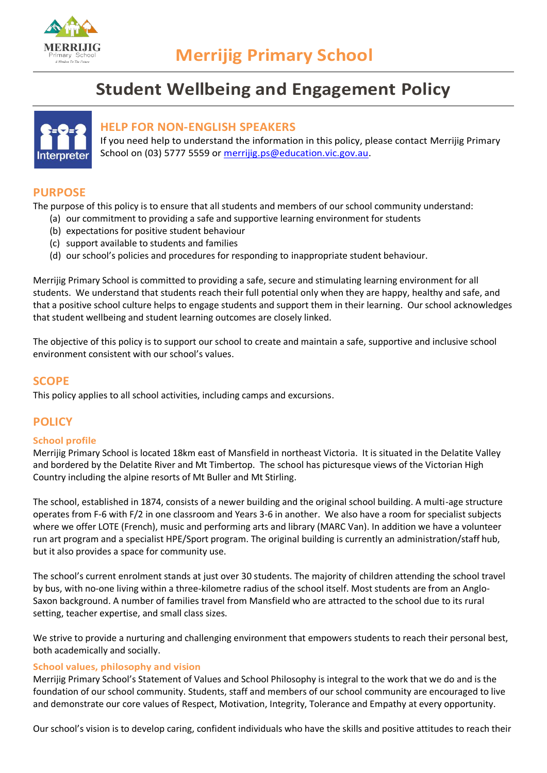

# **Student Wellbeing and Engagement Policy**



## **HELP FOR NON-ENGLISH SPEAKERS**

If you need help to understand the information in this policy, please contact Merrijig Primary School on (03) 5777 5559 or [merrijig.ps@education.vic.gov.au.](mailto:merrijig.ps@education.vic.gov.au)

# **PURPOSE**

The purpose of this policy is to ensure that all students and members of our school community understand:

- (a) our commitment to providing a safe and supportive learning environment for students
	- (b) expectations for positive student behaviour
	- (c) support available to students and families
	- (d) our school's policies and procedures for responding to inappropriate student behaviour.

Merrijig Primary School is committed to providing a safe, secure and stimulating learning environment for all students. We understand that students reach their full potential only when they are happy, healthy and safe, and that a positive school culture helps to engage students and support them in their learning. Our school acknowledges that student wellbeing and student learning outcomes are closely linked.

The objective of this policy is to support our school to create and maintain a safe, supportive and inclusive school environment consistent with our school's values.

# **SCOPE**

This policy applies to all school activities, including camps and excursions.

# **POLICY**

#### **School profile**

Merrijig Primary School is located 18km east of Mansfield in northeast Victoria. It is situated in the Delatite Valley and bordered by the Delatite River and Mt Timbertop. The school has picturesque views of the Victorian High Country including the alpine resorts of Mt Buller and Mt Stirling.

The school, established in 1874, consists of a newer building and the original school building. A multi-age structure operates from F-6 with F/2 in one classroom and Years 3-6 in another. We also have a room for specialist subjects where we offer LOTE (French), music and performing arts and library (MARC Van). In addition we have a volunteer run art program and a specialist HPE/Sport program. The original building is currently an administration/staff hub, but it also provides a space for community use.

The school's current enrolment stands at just over 30 students. The majority of children attending the school travel by bus, with no-one living within a three-kilometre radius of the school itself. Most students are from an Anglo-Saxon background. A number of families travel from Mansfield who are attracted to the school due to its rural setting, teacher expertise, and small class sizes.

We strive to provide a nurturing and challenging environment that empowers students to reach their personal best, both academically and socially.

#### **School values, philosophy and vision**

Merrijig Primary School's Statement of Values and School Philosophy is integral to the work that we do and is the foundation of our school community. Students, staff and members of our school community are encouraged to live and demonstrate our core values of Respect, Motivation, Integrity, Tolerance and Empathy at every opportunity.

Our school's vision is to develop caring, confident individuals who have the skills and positive attitudes to reach their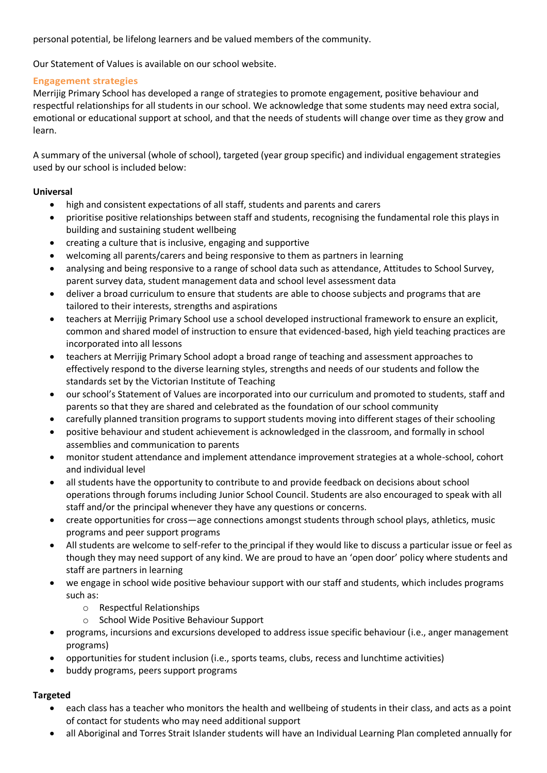personal potential, be lifelong learners and be valued members of the community.

Our Statement of Values is available on our school website.

#### **Engagement strategies**

Merrijig Primary School has developed a range of strategies to promote engagement, positive behaviour and respectful relationships for all students in our school. We acknowledge that some students may need extra social, emotional or educational support at school, and that the needs of students will change over time as they grow and learn.

A summary of the universal (whole of school), targeted (year group specific) and individual engagement strategies used by our school is included below:

#### **Universal**

- high and consistent expectations of all staff, students and parents and carers
- prioritise positive relationships between staff and students, recognising the fundamental role this plays in building and sustaining student wellbeing
- creating a culture that is inclusive, engaging and supportive
- welcoming all parents/carers and being responsive to them as partners in learning
- analysing and being responsive to a range of school data such as attendance, Attitudes to School Survey, parent survey data, student management data and school level assessment data
- deliver a broad curriculum to ensure that students are able to choose subjects and programs that are tailored to their interests, strengths and aspirations
- teachers at Merrijig Primary School use a school developed instructional framework to ensure an explicit, common and shared model of instruction to ensure that evidenced-based, high yield teaching practices are incorporated into all lessons
- teachers at Merrijig Primary School adopt a broad range of teaching and assessment approaches to effectively respond to the diverse learning styles, strengths and needs of our students and follow the standards set by the Victorian Institute of Teaching
- our school's Statement of Values are incorporated into our curriculum and promoted to students, staff and parents so that they are shared and celebrated as the foundation of our school community
- carefully planned transition programs to support students moving into different stages of their schooling
- positive behaviour and student achievement is acknowledged in the classroom, and formally in school assemblies and communication to parents
- monitor student attendance and implement attendance improvement strategies at a whole-school, cohort and individual level
- all students have the opportunity to contribute to and provide feedback on decisions about school operations through forums including Junior School Council. Students are also encouraged to speak with all staff and/or the principal whenever they have any questions or concerns.
- create opportunities for cross—age connections amongst students through school plays, athletics, music programs and peer support programs
- All students are welcome to self-refer to the principal if they would like to discuss a particular issue or feel as though they may need support of any kind. We are proud to have an 'open door' policy where students and staff are partners in learning
- we engage in school wide positive behaviour support with our staff and students, which includes programs such as:
	- o Respectful Relationships
	- o School Wide Positive Behaviour Support
- programs, incursions and excursions developed to address issue specific behaviour (i.e., anger management programs)
- opportunities for student inclusion (i.e., sports teams, clubs, recess and lunchtime activities)
- buddy programs, peers support programs

## **Targeted**

- each class has a teacher who monitors the health and wellbeing of students in their class, and acts as a point of contact for students who may need additional support
- all Aboriginal and Torres Strait Islander students will have an Individual Learning Plan completed annually for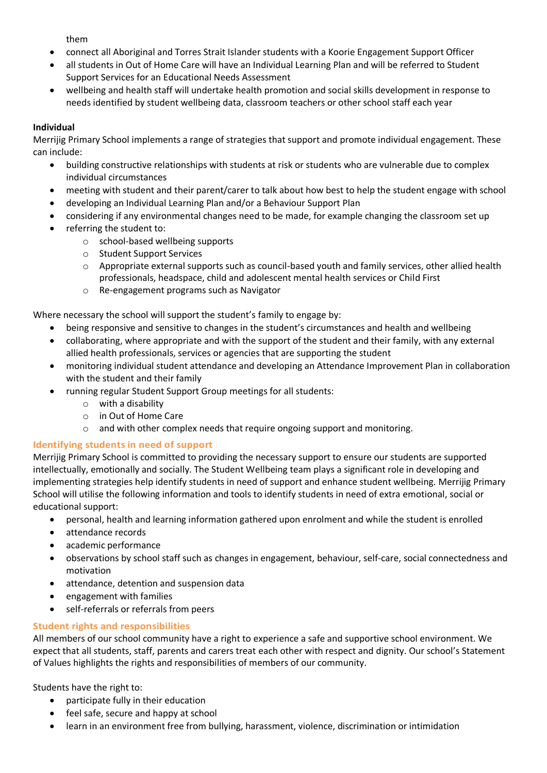them

- connect all Aboriginal and Torres Strait Islander students with a Koorie Engagement Support Officer
- all students in Out of Home Care will have an Individual Learning Plan and will be referred to Student Support Services for an Educational Needs Assessment
- wellbeing and health staff will undertake health promotion and social skills development in response to needs identified by student wellbeing data, classroom teachers or other school staff each year

## **Individual**

Merrijig Primary School implements a range of strategies that support and promote individual engagement. These can include:

- building constructive relationships with students at risk or students who are vulnerable due to complex individual circumstances
- meeting with student and their parent/carer to talk about how best to help the student engage with school
- developing an Individual Learning Plan and/or a Behaviour Support Plan
- considering if any environmental changes need to be made, for example changing the classroom set up
- referring the student to:
	- o school-based wellbeing supports
	- o Student Support Services
	- o Appropriate external supports such as council-based youth and family services, other allied health professionals, headspace, child and adolescent mental health services or Child First
	- o Re-engagement programs such as Navigator

Where necessary the school will support the student's family to engage by:

- being responsive and sensitive to changes in the student's circumstances and health and wellbeing
- collaborating, where appropriate and with the support of the student and their family, with any external allied health professionals, services or agencies that are supporting the student
- monitoring individual student attendance and developing an Attendance Improvement Plan in collaboration with the student and their family
- running regular Student Support Group meetings for all students:
	- o with a disability
	- o in Out of Home Care
	- o and with other complex needs that require ongoing support and monitoring.

## **Identifying students in need of support**

Merrijig Primary School is committed to providing the necessary support to ensure our students are supported intellectually, emotionally and socially. The Student Wellbeing team plays a significant role in developing and implementing strategies help identify students in need of support and enhance student wellbeing. Merrijig Primary School will utilise the following information and tools to identify students in need of extra emotional, social or educational support:

- personal, health and learning information gathered upon enrolment and while the student is enrolled
- attendance records
- academic performance
- observations by school staff such as changes in engagement, behaviour, self-care, social connectedness and motivation
- attendance, detention and suspension data
- engagement with families
- self-referrals or referrals from peers

## **Student rights and responsibilities**

All members of our school community have a right to experience a safe and supportive school environment. We expect that all students, staff, parents and carers treat each other with respect and dignity. Our school's Statement of Values highlights the rights and responsibilities of members of our community.

Students have the right to:

- participate fully in their education
- feel safe, secure and happy at school
- learn in an environment free from bullying, harassment, violence, discrimination or intimidation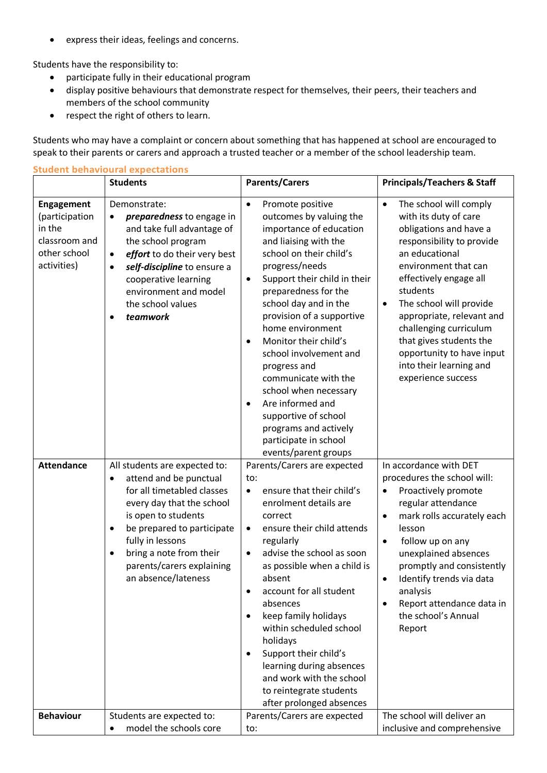• express their ideas, feelings and concerns.

Students have the responsibility to:

- participate fully in their educational program
- display positive behaviours that demonstrate respect for themselves, their peers, their teachers and members of the school community
- respect the right of others to learn.

Students who may have a complaint or concern about something that has happened at school are encouraged to speak to their parents or carers and approach a trusted teacher or a member of the school leadership team.

|                                                                                               | <b>Student behavioural expectations</b>                                                                                                                                                                                                                                                                           |                                                                                                                                                                                                                                                                                                                                                                                                                                                                                                                                                                              |                                                                                                                                                                                                                                                                                                                                                                                                             |  |  |
|-----------------------------------------------------------------------------------------------|-------------------------------------------------------------------------------------------------------------------------------------------------------------------------------------------------------------------------------------------------------------------------------------------------------------------|------------------------------------------------------------------------------------------------------------------------------------------------------------------------------------------------------------------------------------------------------------------------------------------------------------------------------------------------------------------------------------------------------------------------------------------------------------------------------------------------------------------------------------------------------------------------------|-------------------------------------------------------------------------------------------------------------------------------------------------------------------------------------------------------------------------------------------------------------------------------------------------------------------------------------------------------------------------------------------------------------|--|--|
|                                                                                               | <b>Students</b>                                                                                                                                                                                                                                                                                                   | <b>Parents/Carers</b>                                                                                                                                                                                                                                                                                                                                                                                                                                                                                                                                                        | <b>Principals/Teachers &amp; Staff</b>                                                                                                                                                                                                                                                                                                                                                                      |  |  |
| <b>Engagement</b><br>(participation<br>in the<br>classroom and<br>other school<br>activities) | Demonstrate:<br>preparedness to engage in<br>$\bullet$<br>and take full advantage of<br>the school program<br>effort to do their very best<br>$\bullet$<br>self-discipline to ensure a<br>$\bullet$<br>cooperative learning<br>environment and model<br>the school values<br>teamwork<br>$\bullet$                | Promote positive<br>$\bullet$<br>outcomes by valuing the<br>importance of education<br>and liaising with the<br>school on their child's<br>progress/needs<br>Support their child in their<br>$\bullet$<br>preparedness for the<br>school day and in the<br>provision of a supportive<br>home environment<br>Monitor their child's<br>$\bullet$<br>school involvement and<br>progress and<br>communicate with the<br>school when necessary<br>Are informed and<br>$\bullet$<br>supportive of school<br>programs and actively<br>participate in school<br>events/parent groups | The school will comply<br>$\bullet$<br>with its duty of care<br>obligations and have a<br>responsibility to provide<br>an educational<br>environment that can<br>effectively engage all<br>students<br>The school will provide<br>$\bullet$<br>appropriate, relevant and<br>challenging curriculum<br>that gives students the<br>opportunity to have input<br>into their learning and<br>experience success |  |  |
| <b>Attendance</b>                                                                             | All students are expected to:<br>attend and be punctual<br>$\bullet$<br>for all timetabled classes<br>every day that the school<br>is open to students<br>be prepared to participate<br>$\bullet$<br>fully in lessons<br>bring a note from their<br>$\bullet$<br>parents/carers explaining<br>an absence/lateness | Parents/Carers are expected<br>to:<br>ensure that their child's<br>$\bullet$<br>enrolment details are<br>correct<br>ensure their child attends<br>$\bullet$<br>regularly<br>advise the school as soon<br>$\bullet$<br>as possible when a child is<br>absent<br>account for all student<br>$\bullet$<br>absences<br>keep family holidays<br>$\bullet$<br>within scheduled school<br>holidays<br>Support their child's<br>٠<br>learning during absences<br>and work with the school<br>to reintegrate students<br>after prolonged absences                                     | In accordance with DET<br>procedures the school will:<br>Proactively promote<br>regular attendance<br>mark rolls accurately each<br>$\bullet$<br>lesson<br>follow up on any<br>$\bullet$<br>unexplained absences<br>promptly and consistently<br>Identify trends via data<br>analysis<br>Report attendance data in<br>the school's Annual<br>Report                                                         |  |  |
| <b>Behaviour</b>                                                                              | Students are expected to:<br>model the schools core<br>$\bullet$                                                                                                                                                                                                                                                  | Parents/Carers are expected<br>to:                                                                                                                                                                                                                                                                                                                                                                                                                                                                                                                                           | The school will deliver an<br>inclusive and comprehensive                                                                                                                                                                                                                                                                                                                                                   |  |  |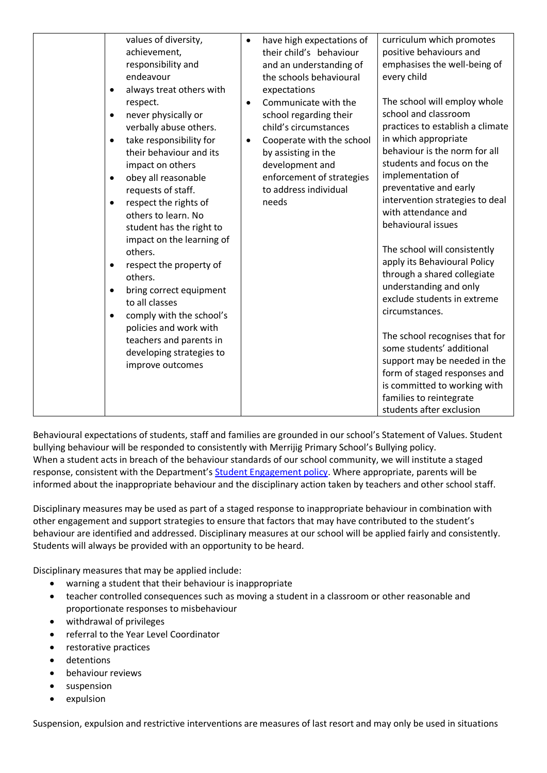| endeavour<br>$\bullet$<br>respect.                                          | values of diversity,<br>$\bullet$<br>achievement,<br>responsibility and<br>always treat others with<br>$\bullet$                                                                                                                                                                                                                                                                                                                                                                                    | have high expectations of<br>their child's behaviour<br>and an understanding of<br>the schools behavioural<br>expectations<br>Communicate with the                                    | curriculum which promotes<br>positive behaviours and<br>emphasises the well-being of<br>every child<br>The school will employ whole                                                                                                                                                                                                                                                                                                                                                                                                                                                                                                                                           |
|-----------------------------------------------------------------------------|-----------------------------------------------------------------------------------------------------------------------------------------------------------------------------------------------------------------------------------------------------------------------------------------------------------------------------------------------------------------------------------------------------------------------------------------------------------------------------------------------------|---------------------------------------------------------------------------------------------------------------------------------------------------------------------------------------|-------------------------------------------------------------------------------------------------------------------------------------------------------------------------------------------------------------------------------------------------------------------------------------------------------------------------------------------------------------------------------------------------------------------------------------------------------------------------------------------------------------------------------------------------------------------------------------------------------------------------------------------------------------------------------|
| $\bullet$<br>٠<br>$\bullet$<br>others.<br>$\bullet$<br>others.<br>$\bullet$ | never physically or<br>verbally abuse others.<br>take responsibility for<br>$\bullet$<br>their behaviour and its<br>impact on others<br>obey all reasonable<br>requests of staff.<br>respect the rights of<br>others to learn. No<br>student has the right to<br>impact on the learning of<br>respect the property of<br>bring correct equipment<br>to all classes<br>comply with the school's<br>policies and work with<br>teachers and parents in<br>developing strategies to<br>improve outcomes | school regarding their<br>child's circumstances<br>Cooperate with the school<br>by assisting in the<br>development and<br>enforcement of strategies<br>to address individual<br>needs | school and classroom<br>practices to establish a climate<br>in which appropriate<br>behaviour is the norm for all<br>students and focus on the<br>implementation of<br>preventative and early<br>intervention strategies to deal<br>with attendance and<br>behavioural issues<br>The school will consistently<br>apply its Behavioural Policy<br>through a shared collegiate<br>understanding and only<br>exclude students in extreme<br>circumstances.<br>The school recognises that for<br>some students' additional<br>support may be needed in the<br>form of staged responses and<br>is committed to working with<br>families to reintegrate<br>students after exclusion |

Behavioural expectations of students, staff and families are grounded in our school's Statement of Values. Student bullying behaviour will be responded to consistently with Merrijig Primary School's Bullying policy. When a student acts in breach of the behaviour standards of our school community, we will institute a staged response, consistent with the Department's [Student Engagement policy.](https://www2.education.vic.gov.au/pal/student-engagement/policy) Where appropriate, parents will be informed about the inappropriate behaviour and the disciplinary action taken by teachers and other school staff.

Disciplinary measures may be used as part of a staged response to inappropriate behaviour in combination with other engagement and support strategies to ensure that factors that may have contributed to the student's behaviour are identified and addressed. Disciplinary measures at our school will be applied fairly and consistently. Students will always be provided with an opportunity to be heard.

Disciplinary measures that may be applied include:

- warning a student that their behaviour is inappropriate
- teacher controlled consequences such as moving a student in a classroom or other reasonable and proportionate responses to misbehaviour
- withdrawal of privileges
- referral to the Year Level Coordinator
- restorative practices
- detentions
- behaviour reviews
- suspension
- expulsion

Suspension, expulsion and restrictive interventions are measures of last resort and may only be used in situations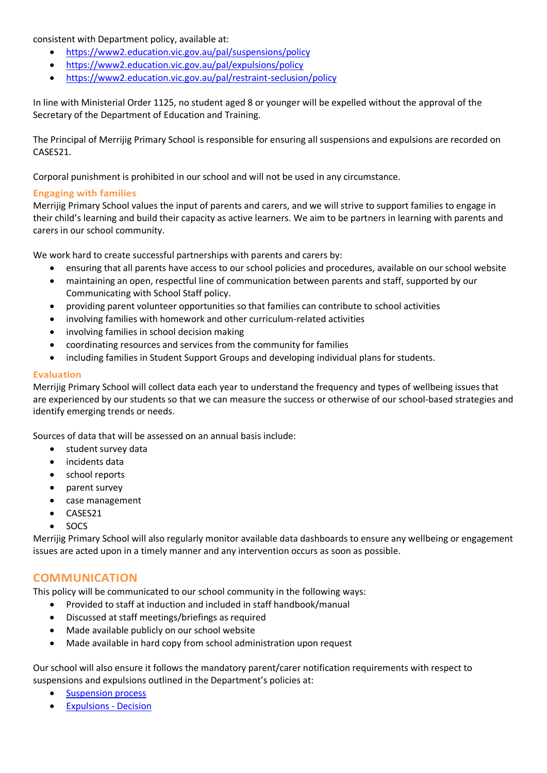consistent with Department policy, available at:

- <https://www2.education.vic.gov.au/pal/suspensions/policy>
- <https://www2.education.vic.gov.au/pal/expulsions/policy>
- <https://www2.education.vic.gov.au/pal/restraint-seclusion/policy>

In line with Ministerial Order 1125, no student aged 8 or younger will be expelled without the approval of the Secretary of the Department of Education and Training.

The Principal of Merrijig Primary School is responsible for ensuring all suspensions and expulsions are recorded on CASES21.

Corporal punishment is prohibited in our school and will not be used in any circumstance.

## **Engaging with families**

Merrijig Primary School values the input of parents and carers, and we will strive to support families to engage in their child's learning and build their capacity as active learners. We aim to be partners in learning with parents and carers in our school community.

We work hard to create successful partnerships with parents and carers by:

- ensuring that all parents have access to our school policies and procedures, available on our school website
- maintaining an open, respectful line of communication between parents and staff, supported by our Communicating with School Staff policy.
- providing parent volunteer opportunities so that families can contribute to school activities
- involving families with homework and other curriculum-related activities
- involving families in school decision making
- coordinating resources and services from the community for families
- including families in Student Support Groups and developing individual plans for students.

#### **Evaluation**

Merrijig Primary School will collect data each year to understand the frequency and types of wellbeing issues that are experienced by our students so that we can measure the success or otherwise of our school-based strategies and identify emerging trends or needs.

Sources of data that will be assessed on an annual basis include:

- student survey data
- incidents data
- school reports
- parent survey
- case management
- CASES21
- SOCS

Merrijig Primary School will also regularly monitor available data dashboards to ensure any wellbeing or engagement issues are acted upon in a timely manner and any intervention occurs as soon as possible.

## **COMMUNICATION**

This policy will be communicated to our school community in the following ways:

- Provided to staff at induction and included in staff handbook/manual
- Discussed at staff meetings/briefings as required
- Made available publicly on our school website
- Made available in hard copy from school administration upon request

Our school will also ensure it follows the mandatory parent/carer notification requirements with respect to suspensions and expulsions outlined in the Department's policies at:

- [Suspension process](https://www2.education.vic.gov.au/pal/suspensions/guidance/1-suspension-process)
- [Expulsions -](https://www2.education.vic.gov.au/pal/expulsions/guidance/decision) Decision